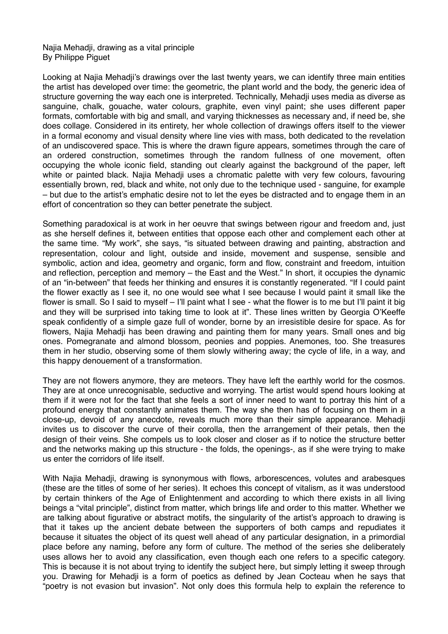## Najia Mehadji, drawing as a vital principle By Philippe Piguet

Looking at Najia Mehadji's drawings over the last twenty years, we can identify three main entities the artist has developed over time: the geometric, the plant world and the body, the generic idea of structure governing the way each one is interpreted. Technically, Mehadji uses media as diverse as sanguine, chalk, gouache, water colours, graphite, even vinyl paint; she uses different paper formats, comfortable with big and small, and varying thicknesses as necessary and, if need be, she does collage. Considered in its entirety, her whole collection of drawings offers itself to the viewer in a formal economy and visual density where line vies with mass, both dedicated to the revelation of an undiscovered space. This is where the drawn figure appears, sometimes through the care of an ordered construction, sometimes through the random fullness of one movement, often occupying the whole iconic field, standing out clearly against the background of the paper, left white or painted black. Najia Mehadji uses a chromatic palette with very few colours, favouring essentially brown, red, black and white, not only due to the technique used - sanguine, for example – but due to the artist's emphatic desire not to let the eyes be distracted and to engage them in an effort of concentration so they can better penetrate the subject.

Something paradoxical is at work in her oeuvre that swings between rigour and freedom and, just as she herself defines it, between entities that oppose each other and complement each other at the same time. "My work", she says, "is situated between drawing and painting, abstraction and representation, colour and light, outside and inside, movement and suspense, sensible and symbolic, action and idea, geometry and organic, form and flow, constraint and freedom, intuition and reflection, perception and memory – the East and the West." In short, it occupies the dynamic of an "in-between" that feeds her thinking and ensures it is constantly regenerated. "If I could paint the flower exactly as I see it, no one would see what I see because I would paint it small like the flower is small. So I said to myself – I'll paint what I see - what the flower is to me but I'll paint it big and they will be surprised into taking time to look at it". These lines written by Georgia O'Keeffe speak confidently of a simple gaze full of wonder, borne by an irresistible desire for space. As for flowers, Najia Mehadji has been drawing and painting them for many years. Small ones and big ones. Pomegranate and almond blossom, peonies and poppies. Anemones, too. She treasures them in her studio, observing some of them slowly withering away; the cycle of life, in a way, and this happy denouement of a transformation.

They are not flowers anymore, they are meteors. They have left the earthly world for the cosmos. They are at once unrecognisable, seductive and worrying. The artist would spend hours looking at them if it were not for the fact that she feels a sort of inner need to want to portray this hint of a profound energy that constantly animates them. The way she then has of focusing on them in a close-up, devoid of any anecdote, reveals much more than their simple appearance. Mehadji invites us to discover the curve of their corolla, then the arrangement of their petals, then the design of their veins. She compels us to look closer and closer as if to notice the structure better and the networks making up this structure - the folds, the openings-, as if she were trying to make us enter the corridors of life itself.

With Najia Mehadji, drawing is synonymous with flows, arborescences, volutes and arabesques (these are the titles of some of her series). It echoes this concept of vitalism, as it was understood by certain thinkers of the Age of Enlightenment and according to which there exists in all living beings a "vital principle", distinct from matter, which brings life and order to this matter. Whether we are talking about figurative or abstract motifs, the singularity of the artist's approach to drawing is that it takes up the ancient debate between the supporters of both camps and repudiates it because it situates the object of its quest well ahead of any particular designation, in a primordial place before any naming, before any form of culture. The method of the series she deliberately uses allows her to avoid any classification, even though each one refers to a specific category. This is because it is not about trying to identify the subject here, but simply letting it sweep through you. Drawing for Mehadji is a form of poetics as defined by Jean Cocteau when he says that "poetry is not evasion but invasion". Not only does this formula help to explain the reference to